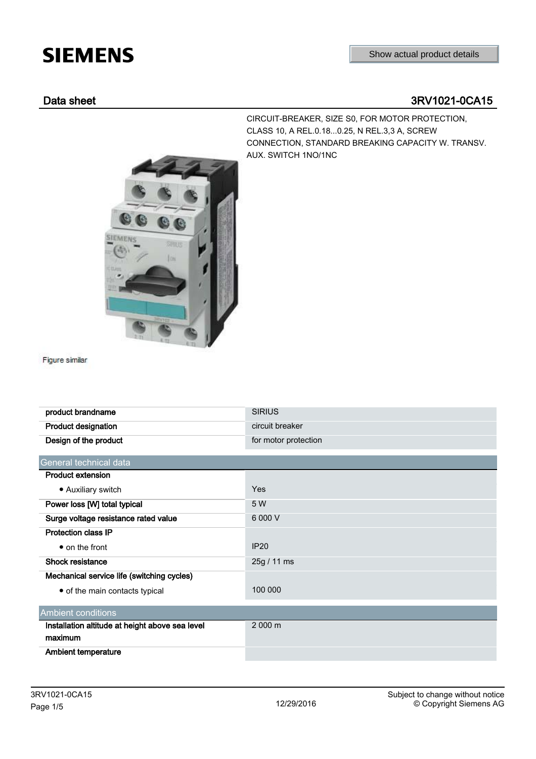## **SIEMENS**

## Data sheet 3RV1021-0CA15

CIRCUIT-BREAKER, SIZE S0, FOR MOTOR PROTECTION, CLASS 10, A REL.0.18...0.25, N REL.3,3 A, SCREW CONNECTION, STANDARD BREAKING CAPACITY W. TRANSV. AUX. SWITCH 1NO/1NC



Figure similar

| product brandname                               | <b>SIRIUS</b>        |
|-------------------------------------------------|----------------------|
| <b>Product designation</b>                      | circuit breaker      |
| Design of the product                           | for motor protection |
|                                                 |                      |
| General technical data                          |                      |
| <b>Product extension</b>                        |                      |
| • Auxiliary switch                              | Yes                  |
| Power loss [W] total typical                    | 5 W                  |
| Surge voltage resistance rated value            | 6 000 V              |
| <b>Protection class IP</b>                      |                      |
| • on the front                                  | <b>IP20</b>          |
| Shock resistance                                | 25g / 11 ms          |
| Mechanical service life (switching cycles)      |                      |
| • of the main contacts typical                  | 100 000              |
| <b>Ambient conditions</b>                       |                      |
|                                                 | 2 000 m              |
| Installation altitude at height above sea level |                      |
| maximum                                         |                      |
| <b>Ambient temperature</b>                      |                      |
|                                                 |                      |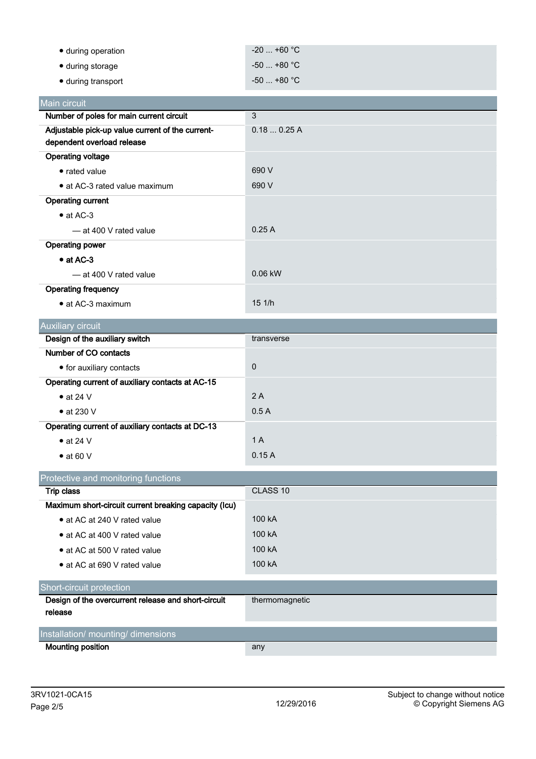| • during operation         | $-20$ +60 $^{\circ}$ C .          |
|----------------------------|-----------------------------------|
| $\bullet$ during storage   | $-50$ +80 $^{\circ}$ C $^{\circ}$ |
| $\bullet$ during transport | $-50$ +80 $^{\circ}$ C .          |

| Main circuit                                     |           |
|--------------------------------------------------|-----------|
| Number of poles for main current circuit         | 3         |
| Adjustable pick-up value current of the current- | 0.180.25A |
| dependent overload release                       |           |
| <b>Operating voltage</b>                         |           |
| • rated value                                    | 690 V     |
| • at AC-3 rated value maximum                    | 690 V     |
| <b>Operating current</b>                         |           |
| $\bullet$ at AC-3                                |           |
| — at 400 V rated value                           | 0.25A     |
| <b>Operating power</b>                           |           |
| $\bullet$ at AC-3                                |           |
| - at 400 V rated value                           | $0.06$ kW |
| <b>Operating frequency</b>                       |           |
| $\bullet$ at AC-3 maximum                        | 151/h     |

| <b>Auxiliary circuit</b>                         |             |
|--------------------------------------------------|-------------|
| Design of the auxiliary switch                   | transverse  |
| Number of CO contacts                            |             |
| • for auxiliary contacts                         | $\mathbf 0$ |
| Operating current of auxiliary contacts at AC-15 |             |
| $\bullet$ at 24 V                                | 2A          |
| $\bullet$ at 230 V                               | 0.5A        |
| Operating current of auxiliary contacts at DC-13 |             |
| $\bullet$ at 24 V                                | 1 A         |
| $\bullet$ at 60 V                                | 0.15A       |

| Protective and monitoring functions                   |                     |  |
|-------------------------------------------------------|---------------------|--|
| Trip class                                            | CLASS <sub>10</sub> |  |
| Maximum short-circuit current breaking capacity (Icu) |                     |  |
| • at AC at 240 V rated value                          | 100 kA              |  |
| • at AC at 400 V rated value                          | 100 kA              |  |
| • at AC at 500 V rated value                          | 100 kA              |  |
| • at AC at 690 V rated value                          | 100 kA              |  |
| Short-circuit protection                              |                     |  |
| Design of the overcurrent release and short-circuit   | thermomagnetic      |  |
| release                                               |                     |  |
| Installation/ mounting/ dimensions                    |                     |  |
| <b>Mounting position</b>                              | any                 |  |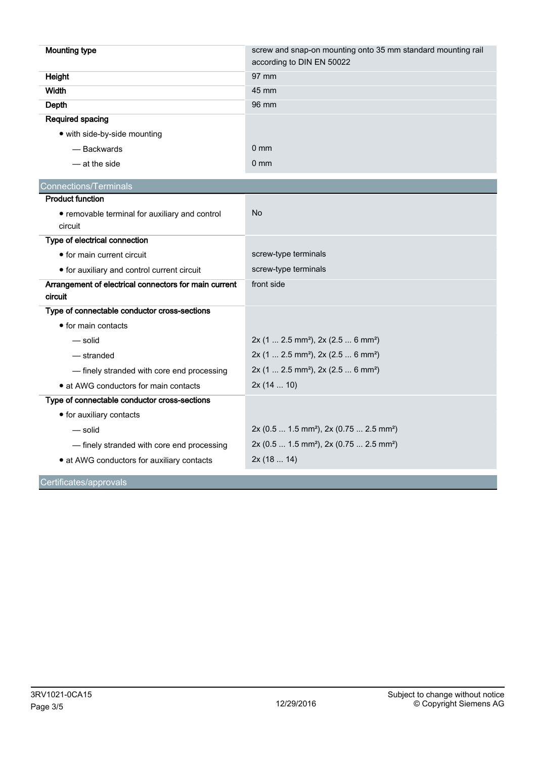| <b>Mounting type</b>                                             | screw and snap-on mounting onto 35 mm standard mounting rail<br>according to DIN EN 50022 |
|------------------------------------------------------------------|-------------------------------------------------------------------------------------------|
| Height                                                           | 97 mm                                                                                     |
| <b>Width</b>                                                     | 45 mm                                                                                     |
|                                                                  | 96 mm                                                                                     |
| Depth                                                            |                                                                                           |
| Required spacing                                                 |                                                                                           |
| • with side-by-side mounting                                     |                                                                                           |
| - Backwards                                                      | $0 \text{ mm}$                                                                            |
| — at the side                                                    | $0 \text{ mm}$                                                                            |
| <b>Connections/Terminals</b>                                     |                                                                                           |
| <b>Product function</b>                                          |                                                                                           |
| • removable terminal for auxiliary and control                   | No                                                                                        |
| circuit                                                          |                                                                                           |
| Type of electrical connection                                    |                                                                                           |
| • for main current circuit                                       | screw-type terminals                                                                      |
| • for auxiliary and control current circuit                      | screw-type terminals                                                                      |
| Arrangement of electrical connectors for main current<br>circuit | front side                                                                                |
| Type of connectable conductor cross-sections                     |                                                                                           |
| • for main contacts                                              |                                                                                           |
| — solid                                                          | 2x (1  2.5 mm <sup>2</sup> ), 2x (2.5  6 mm <sup>2</sup> )                                |
| — stranded                                                       | 2x (1  2.5 mm <sup>2</sup> ), 2x (2.5  6 mm <sup>2</sup> )                                |
| - finely stranded with core end processing                       | 2x (1  2.5 mm <sup>2</sup> ), 2x (2.5  6 mm <sup>2</sup> )                                |
| • at AWG conductors for main contacts                            | 2x(1410)                                                                                  |
| Type of connectable conductor cross-sections                     |                                                                                           |
| • for auxiliary contacts                                         |                                                                                           |
| — solid                                                          | 2x (0.5  1.5 mm <sup>2</sup> ), 2x (0.75  2.5 mm <sup>2</sup> )                           |
| - finely stranded with core end processing                       | 2x (0.5  1.5 mm <sup>2</sup> ), 2x (0.75  2.5 mm <sup>2</sup> )                           |
| • at AWG conductors for auxiliary contacts                       | 2x(1814)                                                                                  |
|                                                                  |                                                                                           |

Certificates/approvals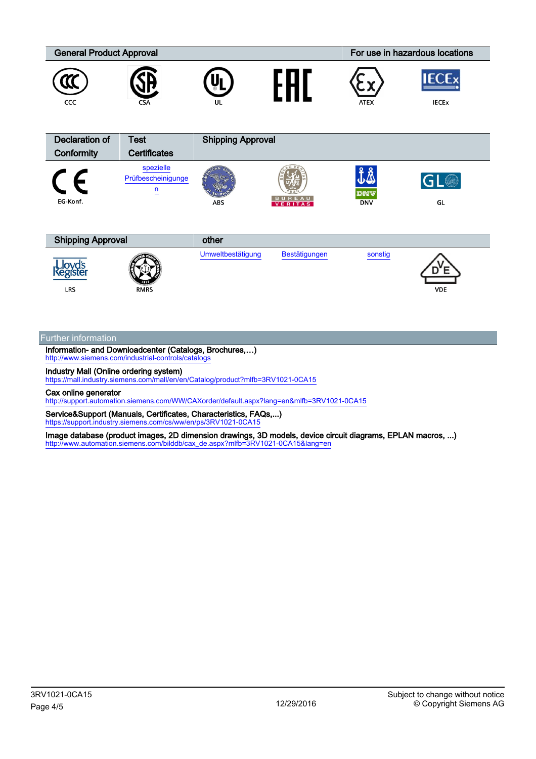

Further information

**LRS** 

Information- and Downloadcenter (Catalogs, Brochures,…) <http://www.siemens.com/industrial-controls/catalogs>

RMRS

Industry Mall (Online ordering system)

<https://mall.industry.siemens.com/mall/en/en/Catalog/product?mlfb=3RV1021-0CA15>

Cax online generator

<http://support.automation.siemens.com/WW/CAXorder/default.aspx?lang=en&mlfb=3RV1021-0CA15>

Service&Support (Manuals, Certificates, Characteristics, FAQs,...) <https://support.industry.siemens.com/cs/ww/en/ps/3RV1021-0CA15>

Image database (product images, 2D dimension drawings, 3D models, device circuit diagrams, EPLAN macros, ...) [http://www.automation.siemens.com/bilddb/cax\\_de.aspx?mlfb=3RV1021-0CA15&lang=en](http://www.automation.siemens.com/bilddb/cax_de.aspx?mlfb=3RV1021-0CA15&lang=en)

VDE